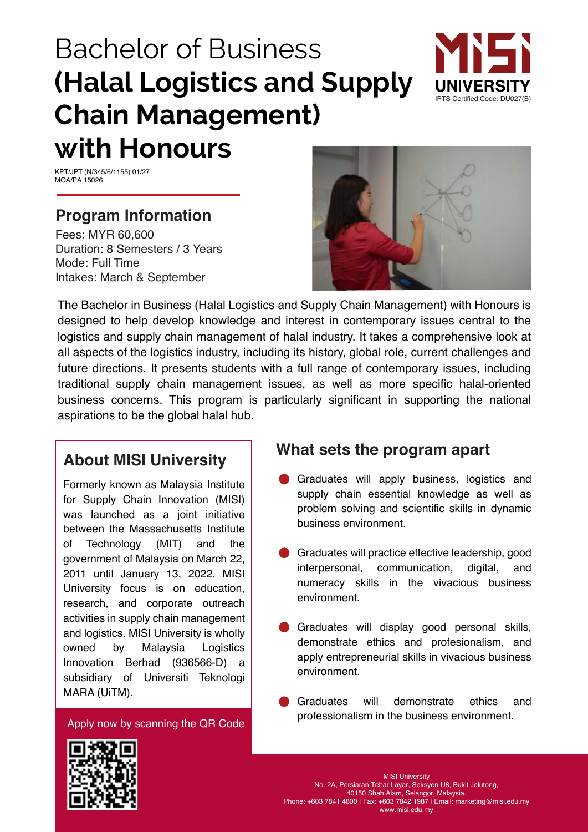# Bachelor of Business **(Halal Logistics and Supply Chain Management) with Honours**



KPT/JPT (N/345/6/1155) 01/27 MQA/PA 15026

### **Program Information**

Fees: MYR 60,600 Duration: 8 Semesters / 3 Years Mode: Full Time Intakes: March & September



The Bachelor in Business (Halal Logistics and Supply Chain Management) with Honours is designed to help develop knowledge and interest in contemporary issues central to the logistics and supply chain management of halal industry. It takes a comprehensive look at all aspects of the logistics industry, including its history, global role, current challenges and future directions. It presents students with a full range of contemporary issues, including traditional supply chain management issues, as well as more specific halal-oriented business concerns. This program is particularly significant in supporting the national aspirations to be the global halal hub.

### **About MISI University**

and logistics. MISI University is wholly owned by Formerly known as Malaysia Institute for Supply Chain Innovation (MISI) was launched as a joint initiative between the Massachusetts Institute of Technology (MIT) and the government of Malaysia on March 22, 2011 until January 13, 2022. MISI University focus is on education, research, and corporate outreach activities in supply chain management Malaysia Logistics Innovation Berhad (936566-D) a subsidiary of Universiti Teknologi MARA (UiTM).

Apply now by scanning the QR Code

### **What sets the program apart**

- Graduates will apply business, logistics and supply chain essential knowledge as well as problem solving and scientific skills in dynamic business environment.
- Graduates will practice effective leadership, good interpersonal, communication, digital, and numeracy skills in the vivacious business environment.
- Graduates will display good personal skills, demonstrate ethics and profesionalism, and apply entrepreneurial skills in vivacious business environment.
- Graduates will demonstrate ethics and professionalism in the business environment.